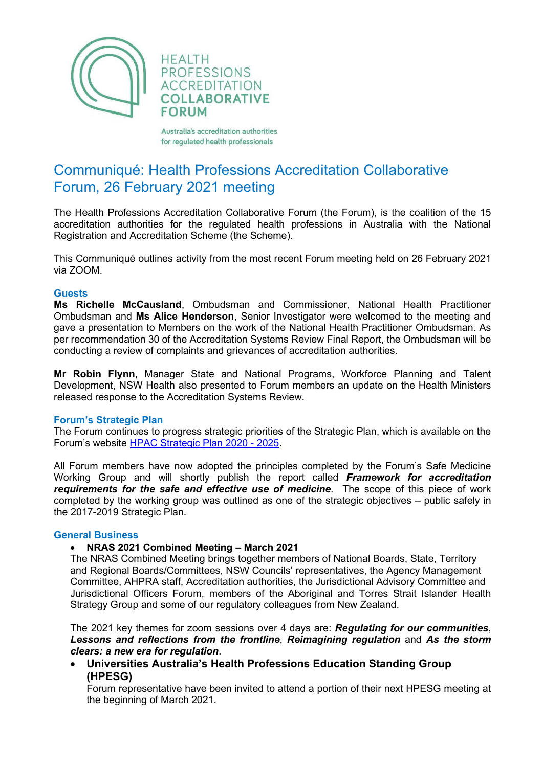

**HEALTH PROFESSIONS ACCREDITATION COLLABORATIVE FORUM** 

Australia's accreditation authorities for regulated health professionals

# Communiqué: Health Professions Accreditation Collaborative Forum, 26 February 2021 meeting

The Health Professions Accreditation Collaborative Forum (the Forum), is the coalition of the 15 accreditation authorities for the regulated health professions in Australia with the National Registration and Accreditation Scheme (the Scheme).

This Communiqué outlines activity from the most recent Forum meeting held on 26 February 2021 via ZOOM.

### **Guests**

**Ms Richelle McCausland**, Ombudsman and Commissioner, National Health Practitioner Ombudsman and **Ms Alice Henderson**, Senior Investigator were welcomed to the meeting and gave a presentation to Members on the work of the National Health Practitioner Ombudsman. As per recommendation 30 of the Accreditation Systems Review Final Report, the Ombudsman will be conducting a review of complaints and grievances of accreditation authorities.

**Mr Robin Flynn**, Manager State and National Programs, Workforce Planning and Talent Development, NSW Health also presented to Forum members an update on the Health Ministers released response to the Accreditation Systems Review.

#### **Forum's Strategic Plan**

The Forum continues to progress strategic priorities of the Strategic Plan, which is available on the Forum's website [HPAC Strategic Plan 2020 -](http://hpacf.org.au/about/) 2025.

All Forum members have now adopted the principles completed by the Forum's Safe Medicine Working Group and will shortly publish the report called *Framework for accreditation requirements for the safe and effective use of medicine*. The scope of this piece of work completed by the working group was outlined as one of the strategic objectives – public safely in the 2017-2019 Strategic Plan.

#### **General Business**

## • **NRAS 2021 Combined Meeting – March 2021**

The NRAS Combined Meeting brings together members of National Boards, State, Territory and Regional Boards/Committees, NSW Councils' representatives, the Agency Management Committee, AHPRA staff, Accreditation authorities, the Jurisdictional Advisory Committee and Jurisdictional Officers Forum, members of the Aboriginal and Torres Strait Islander Health Strategy Group and some of our regulatory colleagues from New Zealand.

The 2021 key themes for zoom sessions over 4 days are: *Regulating for our communities*, *Lessons and reflections from the frontline*, *Reimagining regulation* and *As the storm clears: a new era for regulation*.

• **Universities Australia's Health Professions Education Standing Group (HPESG)**

Forum representative have been invited to attend a portion of their next HPESG meeting at the beginning of March 2021.